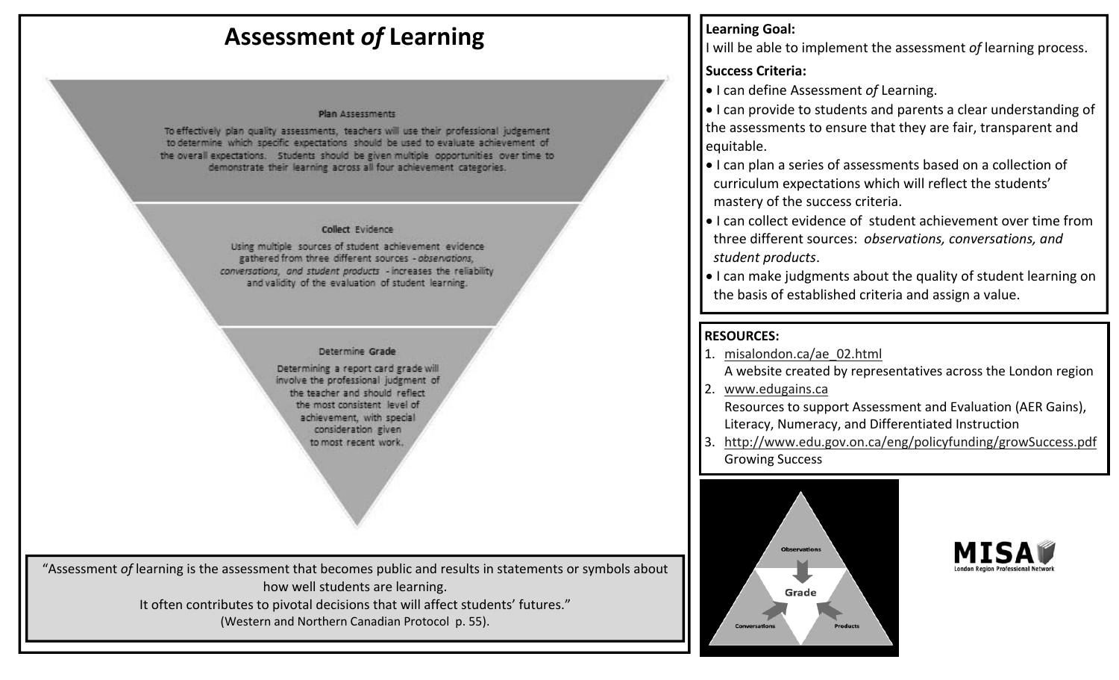# **Assessment** *of* **Learning**

#### **Plan Assessments**

To effectively plan quality assessments, teachers will use their professional judgement to determine which specific expectations should be used to evaluate achievement of the overall expectations. Students should be given multiple opportunities over time to demonstrate their learning across all four achievement categories.

### Collect Evidence

Using multiple sources of student achievement evidence gathered from three different sources - observations, conversations, and student products - increases the reliability and validity of the evaluation of student learning.

### Determine Grade

Determining a report card grade will involve the professional judgment of the teacher and should reflect the most consistent level of achievement, with special consideration given to most recent work.

"Assessment *of* learning is the assessment that becomes public and results in statements or symbols about how well students are learning.

It often contributes to pivotal decisions that will affect students' futures."

(Western and Northern Canadian Protocol p. 55).

# **Learning Goal:**

Iwill be able to implement the assessment *of* learning process.

### **Success Criteria:**

**•** I can define Assessment of Learning.

 I can provide to students and parents <sup>a</sup> clear understanding of the assessments to ensure that they are fair, transparent and equitable.

- I can plan <sup>a</sup> series of assessments based on <sup>a</sup> collection of curriculum expectations which will reflect the students' mastery of the success criteria.
- I can collect evidence of student achievement over time fromthree different sources: *observations, conversations, and student products*.
- I can make judgments about the quality of student learning on the basis of established criteria and assign <sup>a</sup> value.

## **RESOURCES:**

- 1. <u>misalondon.ca/ae 02.html</u> A website created by representatives across the London region
- 2. www.edugains.ca

Resources to support Assessment and Evaluation (AER Gains), Literacy, Numeracy, and Differentiated Instruction

3. http://www.edu.gov.on.ca/eng/policyfunding/growSuccess.pdf Growing Success